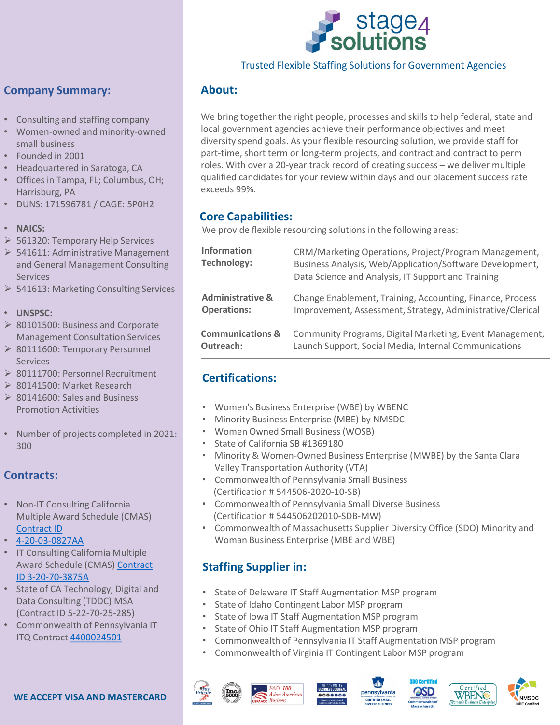

#### Trusted Flexible Staffing Solutions for Government Agencies

### **Company Summary:**

- Consulting and staffing company
- Women-owned and minority-owned small business
- Founded in 2001
- Headquartered in Saratoga, CA
- Offices in Tampa, FL; Columbus, OH; Harrisburg, PA
- DUNS: 171596781 / CAGE: 5P0H2
- **NAICS:**
- 561320: Temporary Help Services
- $\triangleright$  541611: Administrative Management and General Management Consulting Services
- ▶ 541613: Marketing Consulting Services
- **UNSPSC:**
- ▶ 80101500: Business and Corporate Management Consultation Services
- ▶ 80111600: Temporary Personnel Services
- ▶ 80111700: Personnel Recruitment
- ▶ 80141500: Market Research
- $\geq 80141600$ : Sales and Business Promotion Activities
- Number of projects completed in 2021: 300

## **Contracts:**

- Non-IT Consulting California Multiple Award Schedule (CMAS) [Contract ID](https://www.stage4solutions.com/wp-content/uploads/2019/09/Stage-4-Solutions-CMAS-4-20-03-0827A.pdf)
- [4-20-03-0827AA](https://www.stage4solutions.com/wp-content/uploads/2019/09/Stage-4-Solutions-CMAS-4-20-03-0827A.pdf)
- IT Consulting California Multiple [Award Schedule \(CMAS\) Contract](https://www.stage4solutions.com/wp-content/uploads/2019/09/Stage-4-Solutions-IT-CMAS-Award.pdf) ID 3-20-70-3875A
- State of CA Technology, Digital and Data Consulting (TDDC) MSA (Contract ID 5-22-70-25-285)
- Commonwealth of Pennsylvania IT ITQ Contract [4400024501](https://www.stage4solutions.com/wp-content/uploads/2021/05/4400024501-Stage-4-Solutions-Inc.pdf)

## **About:**

We bring together the right people, processes and skills to help federal, state and local government agencies achieve their performance objectives and meet diversity spend goals. As your flexible resourcing solution, we provide staff for part-time, short term or long-term projects, and contract and contract to perm roles. With over a 20-year track record of creating success – we deliver multiple qualified candidates for your review within days and our placement success rate exceeds 99%.

## **Core Capabilities:**

We provide flexible resourcing solutions in the following areas:

| <b>Information</b><br><b>Technology:</b> | CRM/Marketing Operations, Project/Program Management,<br>Business Analysis, Web/Application/Software Development,<br>Data Science and Analysis, IT Support and Training |
|------------------------------------------|-------------------------------------------------------------------------------------------------------------------------------------------------------------------------|
| <b>Administrative &amp;</b>              | Change Enablement, Training, Accounting, Finance, Process                                                                                                               |
| <b>Operations:</b>                       | Improvement, Assessment, Strategy, Administrative/Clerical                                                                                                              |
| <b>Communications &amp;</b>              | Community Programs, Digital Marketing, Event Management,                                                                                                                |
| Outreach:                                | Launch Support, Social Media, Internal Communications                                                                                                                   |

## **Certifications:**

- Women's Business Enterprise (WBE) by WBENC
- Minority Business Enterprise (MBE) by NMSDC
- Women Owned Small Business (WOSB)
- State of California SB #1369180
- Minority & Women-Owned Business Enterprise (MWBE) by the Santa Clara Valley Transportation Authority (VTA)
- Commonwealth of Pennsylvania Small Business (Certification # 544506-2020-10-SB)
- Commonwealth of Pennsylvania Small Diverse Business (Certification # 544506202010-SDB-MW)
- Commonwealth of Massachusetts Supplier Diversity Office (SDO) Minority and Woman Business Enterprise (MBE and WBE)

## **Staffing Supplier in:**

- State of Delaware IT Staff Augmentation MSP program
- State of Idaho Contingent Labor MSP program
- State of Iowa IT Staff Augmentation MSP program
- State of Ohio IT Staff Augmentation MSP program
- Commonwealth of Pennsylvania IT Staff Augmentation MSP program
- Commonwealth of Virginia IT Contingent Labor MSP program